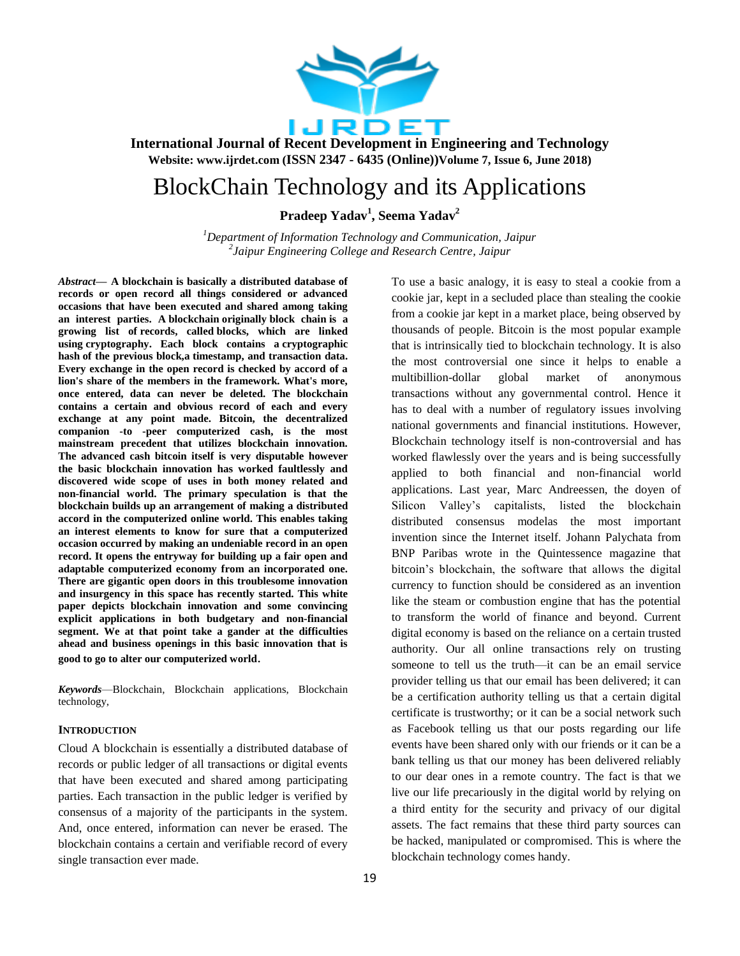

# BlockChain Technology and its Applications

**Pradeep Yadav<sup>1</sup> , Seema Yadav<sup>2</sup>**

*<sup>1</sup>Department of Information Technology and Communication, Jaipur 2 Jaipur Engineering College and Research Centre, Jaipur*

*Abstract***— A blockchain is basically a distributed database of records or open record all things considered or advanced occasions that have been executed and shared among taking an interest parties. A blockchain originally block chain is a growing list of records, called blocks, which are linked using cryptography. Each block contains a cryptographic hash of the previous block,a timestamp, and transaction data. Every exchange in the open record is checked by accord of a lion's share of the members in the framework. What's more, once entered, data can never be deleted. The blockchain contains a certain and obvious record of each and every exchange at any point made. Bitcoin, the decentralized companion -to -peer computerized cash, is the most mainstream precedent that utilizes blockchain innovation. The advanced cash bitcoin itself is very disputable however the basic blockchain innovation has worked faultlessly and discovered wide scope of uses in both money related and non-financial world. The primary speculation is that the blockchain builds up an arrangement of making a distributed accord in the computerized online world. This enables taking an interest elements to know for sure that a computerized occasion occurred by making an undeniable record in an open record. It opens the entryway for building up a fair open and adaptable computerized economy from an incorporated one. There are gigantic open doors in this troublesome innovation and insurgency in this space has recently started. This white paper depicts blockchain innovation and some convincing explicit applications in both budgetary and non-financial segment. We at that point take a gander at the difficulties ahead and business openings in this basic innovation that is good to go to alter our computerized world**.

*Keywords*—Blockchain, Blockchain applications, Blockchain technology,

## **INTRODUCTION**

Cloud A blockchain is essentially a distributed database of records or public ledger of all transactions or digital events that have been executed and shared among participating parties. Each transaction in the public ledger is verified by consensus of a majority of the participants in the system. And, once entered, information can never be erased. The blockchain contains a certain and verifiable record of every single transaction ever made.

To use a basic analogy, it is easy to steal a cookie from a cookie jar, kept in a secluded place than stealing the cookie from a cookie jar kept in a market place, being observed by thousands of people. Bitcoin is the most popular example that is intrinsically tied to blockchain technology. It is also the most controversial one since it helps to enable a multibillion-dollar global market of anonymous transactions without any governmental control. Hence it has to deal with a number of regulatory issues involving national governments and financial institutions. However, Blockchain technology itself is non-controversial and has worked flawlessly over the years and is being successfully applied to both financial and non-financial world applications. Last year, Marc Andreessen, the doyen of Silicon Valley's capitalists, listed the blockchain distributed consensus modelas the most important invention since the Internet itself. Johann Palychata from BNP Paribas wrote in the Quintessence magazine that bitcoin's blockchain, the software that allows the digital currency to function should be considered as an invention like the steam or combustion engine that has the potential to transform the world of finance and beyond. Current digital economy is based on the reliance on a certain trusted authority. Our all online transactions rely on trusting someone to tell us the truth—it can be an email service provider telling us that our email has been delivered; it can be a certification authority telling us that a certain digital certificate is trustworthy; or it can be a social network such as Facebook telling us that our posts regarding our life events have been shared only with our friends or it can be a bank telling us that our money has been delivered reliably to our dear ones in a remote country. The fact is that we live our life precariously in the digital world by relying on a third entity for the security and privacy of our digital assets. The fact remains that these third party sources can be hacked, manipulated or compromised. This is where the blockchain technology comes handy.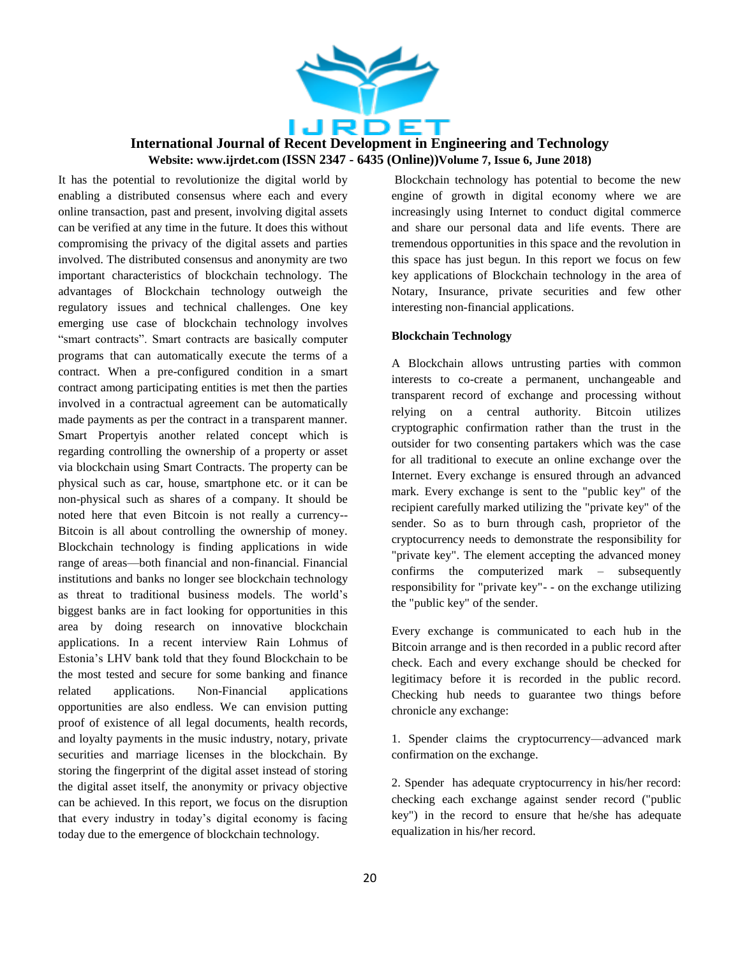

It has the potential to revolutionize the digital world by enabling a distributed consensus where each and every online transaction, past and present, involving digital assets can be verified at any time in the future. It does this without compromising the privacy of the digital assets and parties involved. The distributed consensus and anonymity are two important characteristics of blockchain technology. The advantages of Blockchain technology outweigh the regulatory issues and technical challenges. One key emerging use case of blockchain technology involves "smart contracts". Smart contracts are basically computer programs that can automatically execute the terms of a contract. When a pre-configured condition in a smart contract among participating entities is met then the parties involved in a contractual agreement can be automatically made payments as per the contract in a transparent manner. Smart Propertyis another related concept which is regarding controlling the ownership of a property or asset via blockchain using Smart Contracts. The property can be physical such as car, house, smartphone etc. or it can be non-physical such as shares of a company. It should be noted here that even Bitcoin is not really a currency-- Bitcoin is all about controlling the ownership of money. Blockchain technology is finding applications in wide range of areas—both financial and non-financial. Financial institutions and banks no longer see blockchain technology as threat to traditional business models. The world's biggest banks are in fact looking for opportunities in this area by doing research on innovative blockchain applications. In a recent interview Rain Lohmus of Estonia's LHV bank told that they found Blockchain to be the most tested and secure for some banking and finance related applications. Non-Financial applications opportunities are also endless. We can envision putting proof of existence of all legal documents, health records, and loyalty payments in the music industry, notary, private securities and marriage licenses in the blockchain. By storing the fingerprint of the digital asset instead of storing the digital asset itself, the anonymity or privacy objective can be achieved. In this report, we focus on the disruption that every industry in today's digital economy is facing today due to the emergence of blockchain technology.

Blockchain technology has potential to become the new engine of growth in digital economy where we are increasingly using Internet to conduct digital commerce and share our personal data and life events. There are tremendous opportunities in this space and the revolution in this space has just begun. In this report we focus on few key applications of Blockchain technology in the area of Notary, Insurance, private securities and few other interesting non-financial applications.

#### **Blockchain Technology**

A Blockchain allows untrusting parties with common interests to co-create a permanent, unchangeable and transparent record of exchange and processing without relying on a central authority. Bitcoin utilizes cryptographic confirmation rather than the trust in the outsider for two consenting partakers which was the case for all traditional to execute an online exchange over the Internet. Every exchange is ensured through an advanced mark. Every exchange is sent to the "public key" of the recipient carefully marked utilizing the "private key" of the sender. So as to burn through cash, proprietor of the cryptocurrency needs to demonstrate the responsibility for "private key". The element accepting the advanced money confirms the computerized mark – subsequently responsibility for "private key"- - on the exchange utilizing the "public key" of the sender.

Every exchange is communicated to each hub in the Bitcoin arrange and is then recorded in a public record after check. Each and every exchange should be checked for legitimacy before it is recorded in the public record. Checking hub needs to guarantee two things before chronicle any exchange:

1. Spender claims the cryptocurrency—advanced mark confirmation on the exchange.

2. Spender has adequate cryptocurrency in his/her record: checking each exchange against sender record ("public key") in the record to ensure that he/she has adequate equalization in his/her record.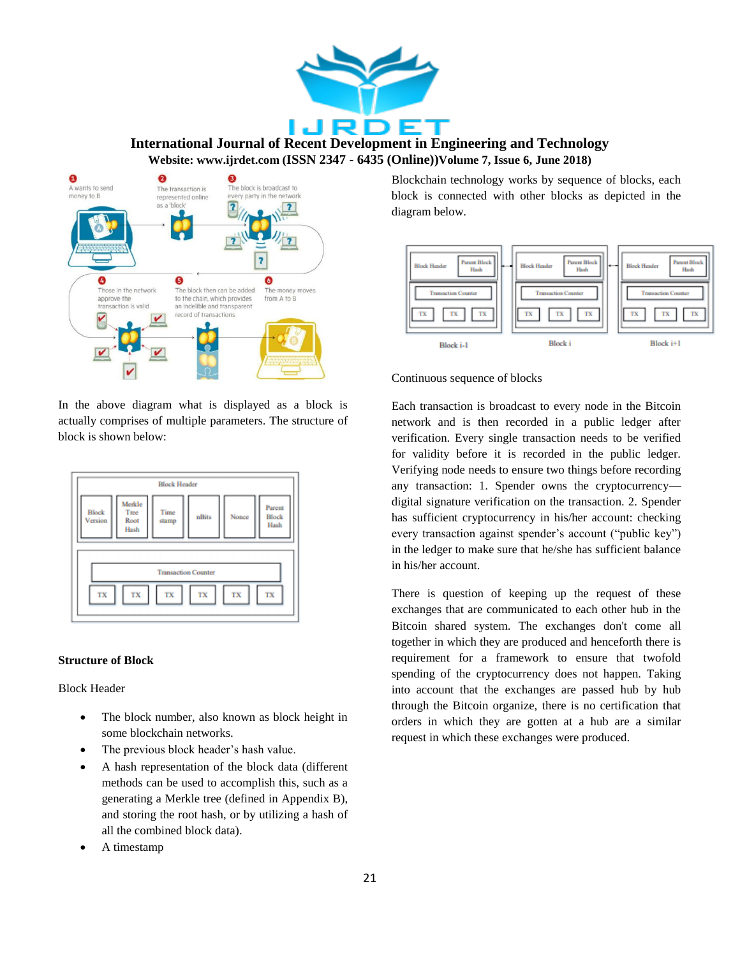



In the above diagram what is displayed as a block is actually comprises of multiple parameters. The structure of block is shown below:



#### **Structure of Block**

Block Header

- The block number, also known as block height in some blockchain networks.
- The previous block header's hash value.
- A hash representation of the block data (different methods can be used to accomplish this, such as a generating a Merkle tree (defined in Appendix B), and storing the root hash, or by utilizing a hash of all the combined block data).
- A timestamp

Blockchain technology works by sequence of blocks, each block is connected with other blocks as depicted in the diagram below.



#### Continuous sequence of blocks

Each transaction is broadcast to every node in the Bitcoin network and is then recorded in a public ledger after verification. Every single transaction needs to be verified for validity before it is recorded in the public ledger. Verifying node needs to ensure two things before recording any transaction: 1. Spender owns the cryptocurrency digital signature verification on the transaction. 2. Spender has sufficient cryptocurrency in his/her account: checking every transaction against spender's account ("public key") in the ledger to make sure that he/she has sufficient balance in his/her account.

There is question of keeping up the request of these exchanges that are communicated to each other hub in the Bitcoin shared system. The exchanges don't come all together in which they are produced and henceforth there is requirement for a framework to ensure that twofold spending of the cryptocurrency does not happen. Taking into account that the exchanges are passed hub by hub through the Bitcoin organize, there is no certification that orders in which they are gotten at a hub are a similar request in which these exchanges were produced.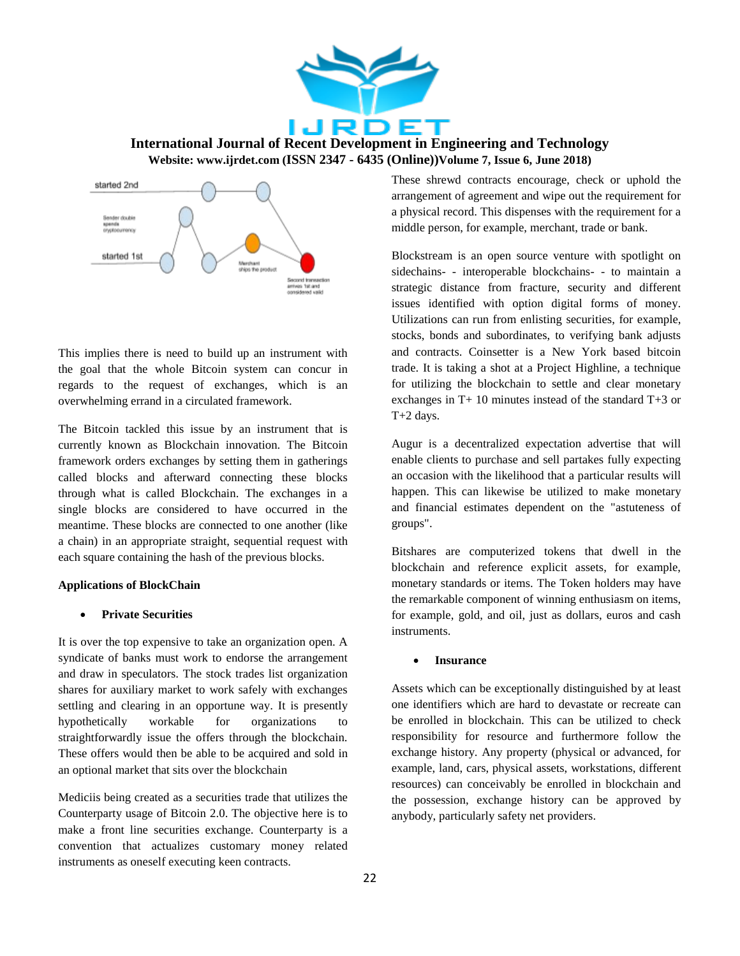



This implies there is need to build up an instrument with the goal that the whole Bitcoin system can concur in regards to the request of exchanges, which is an overwhelming errand in a circulated framework.

The Bitcoin tackled this issue by an instrument that is currently known as Blockchain innovation. The Bitcoin framework orders exchanges by setting them in gatherings called blocks and afterward connecting these blocks through what is called Blockchain. The exchanges in a single blocks are considered to have occurred in the meantime. These blocks are connected to one another (like a chain) in an appropriate straight, sequential request with each square containing the hash of the previous blocks.

#### **Applications of BlockChain**

#### **Private Securities**

It is over the top expensive to take an organization open. A syndicate of banks must work to endorse the arrangement and draw in speculators. The stock trades list organization shares for auxiliary market to work safely with exchanges settling and clearing in an opportune way. It is presently hypothetically workable for organizations to straightforwardly issue the offers through the blockchain. These offers would then be able to be acquired and sold in an optional market that sits over the blockchain

Mediciis being created as a securities trade that utilizes the Counterparty usage of Bitcoin 2.0. The objective here is to make a front line securities exchange. Counterparty is a convention that actualizes customary money related instruments as oneself executing keen contracts.

These shrewd contracts encourage, check or uphold the arrangement of agreement and wipe out the requirement for a physical record. This dispenses with the requirement for a middle person, for example, merchant, trade or bank.

Blockstream is an open source venture with spotlight on sidechains- - interoperable blockchains- - to maintain a strategic distance from fracture, security and different issues identified with option digital forms of money. Utilizations can run from enlisting securities, for example, stocks, bonds and subordinates, to verifying bank adjusts and contracts. Coinsetter is a New York based bitcoin trade. It is taking a shot at a Project Highline, a technique for utilizing the blockchain to settle and clear monetary exchanges in T+ 10 minutes instead of the standard T+3 or T+2 days.

Augur is a decentralized expectation advertise that will enable clients to purchase and sell partakes fully expecting an occasion with the likelihood that a particular results will happen. This can likewise be utilized to make monetary and financial estimates dependent on the "astuteness of groups".

Bitshares are computerized tokens that dwell in the blockchain and reference explicit assets, for example, monetary standards or items. The Token holders may have the remarkable component of winning enthusiasm on items, for example, gold, and oil, just as dollars, euros and cash instruments.

#### **Insurance**

Assets which can be exceptionally distinguished by at least one identifiers which are hard to devastate or recreate can be enrolled in blockchain. This can be utilized to check responsibility for resource and furthermore follow the exchange history. Any property (physical or advanced, for example, land, cars, physical assets, workstations, different resources) can conceivably be enrolled in blockchain and the possession, exchange history can be approved by anybody, particularly safety net providers.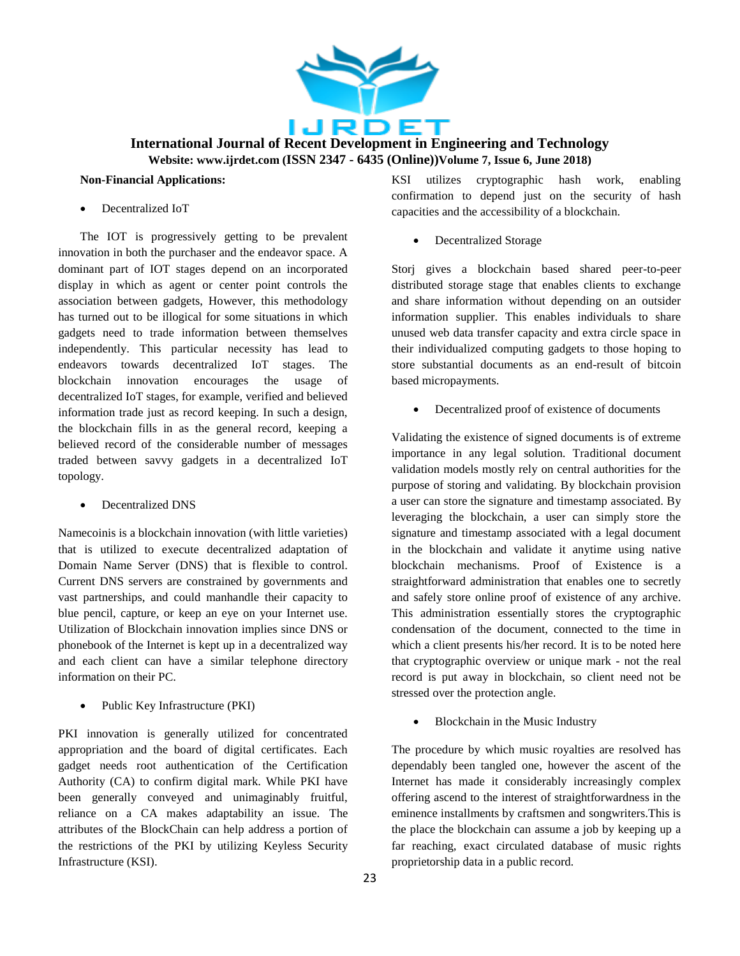

## **Non-Financial Applications:**

Decentralized IoT

The IOT is progressively getting to be prevalent innovation in both the purchaser and the endeavor space. A dominant part of IOT stages depend on an incorporated display in which as agent or center point controls the association between gadgets, However, this methodology has turned out to be illogical for some situations in which gadgets need to trade information between themselves independently. This particular necessity has lead to endeavors towards decentralized IoT stages. The blockchain innovation encourages the usage of decentralized IoT stages, for example, verified and believed information trade just as record keeping. In such a design, the blockchain fills in as the general record, keeping a believed record of the considerable number of messages traded between savvy gadgets in a decentralized IoT topology.

• Decentralized DNS

Namecoinis is a blockchain innovation (with little varieties) that is utilized to execute decentralized adaptation of Domain Name Server (DNS) that is flexible to control. Current DNS servers are constrained by governments and vast partnerships, and could manhandle their capacity to blue pencil, capture, or keep an eye on your Internet use. Utilization of Blockchain innovation implies since DNS or phonebook of the Internet is kept up in a decentralized way and each client can have a similar telephone directory information on their PC.

• Public Key Infrastructure (PKI)

PKI innovation is generally utilized for concentrated appropriation and the board of digital certificates. Each gadget needs root authentication of the Certification Authority (CA) to confirm digital mark. While PKI have been generally conveyed and unimaginably fruitful, reliance on a CA makes adaptability an issue. The attributes of the BlockChain can help address a portion of the restrictions of the PKI by utilizing Keyless Security Infrastructure (KSI).

KSI utilizes cryptographic hash work, enabling confirmation to depend just on the security of hash capacities and the accessibility of a blockchain.

Decentralized Storage

Storj gives a blockchain based shared peer-to-peer distributed storage stage that enables clients to exchange and share information without depending on an outsider information supplier. This enables individuals to share unused web data transfer capacity and extra circle space in their individualized computing gadgets to those hoping to store substantial documents as an end-result of bitcoin based micropayments.

Decentralized proof of existence of documents

Validating the existence of signed documents is of extreme importance in any legal solution. Traditional document validation models mostly rely on central authorities for the purpose of storing and validating. By blockchain provision a user can store the signature and timestamp associated. By leveraging the blockchain, a user can simply store the signature and timestamp associated with a legal document in the blockchain and validate it anytime using native blockchain mechanisms. Proof of Existence is a straightforward administration that enables one to secretly and safely store online proof of existence of any archive. This administration essentially stores the cryptographic condensation of the document, connected to the time in which a client presents his/her record. It is to be noted here that cryptographic overview or unique mark - not the real record is put away in blockchain, so client need not be stressed over the protection angle.

Blockchain in the Music Industry

The procedure by which music royalties are resolved has dependably been tangled one, however the ascent of the Internet has made it considerably increasingly complex offering ascend to the interest of straightforwardness in the eminence installments by craftsmen and songwriters.This is the place the blockchain can assume a job by keeping up a far reaching, exact circulated database of music rights proprietorship data in a public record.